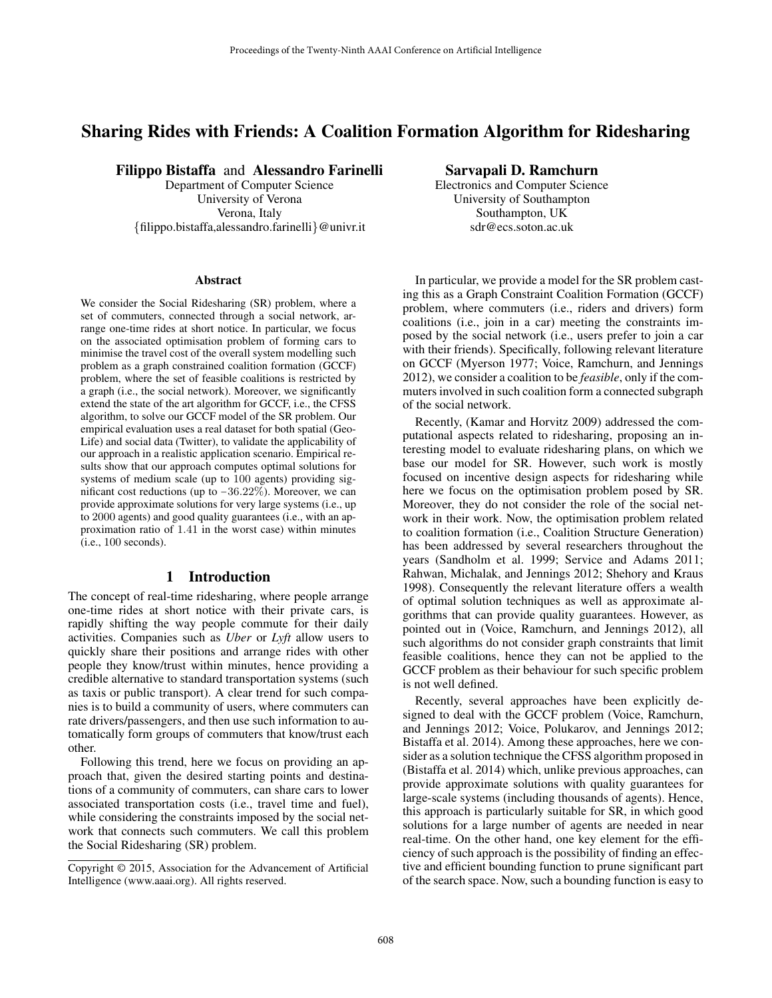# Sharing Rides with Friends: A Coalition Formation Algorithm for Ridesharing

Filippo Bistaffa and Alessandro Farinelli

Department of Computer Science University of Verona Verona, Italy {filippo.bistaffa,alessandro.farinelli}@univr.it

#### Abstract

We consider the Social Ridesharing (SR) problem, where a set of commuters, connected through a social network, arrange one-time rides at short notice. In particular, we focus on the associated optimisation problem of forming cars to minimise the travel cost of the overall system modelling such problem as a graph constrained coalition formation (GCCF) problem, where the set of feasible coalitions is restricted by a graph (i.e., the social network). Moreover, we significantly extend the state of the art algorithm for GCCF, i.e., the CFSS algorithm, to solve our GCCF model of the SR problem. Our empirical evaluation uses a real dataset for both spatial (Geo-Life) and social data (Twitter), to validate the applicability of our approach in a realistic application scenario. Empirical results show that our approach computes optimal solutions for systems of medium scale (up to 100 agents) providing significant cost reductions (up to −36.22%). Moreover, we can provide approximate solutions for very large systems (i.e., up to 2000 agents) and good quality guarantees (i.e., with an approximation ratio of 1.41 in the worst case) within minutes (i.e., 100 seconds).

## 1 Introduction

The concept of real-time ridesharing, where people arrange one-time rides at short notice with their private cars, is rapidly shifting the way people commute for their daily activities. Companies such as *Uber* or *Lyft* allow users to quickly share their positions and arrange rides with other people they know/trust within minutes, hence providing a credible alternative to standard transportation systems (such as taxis or public transport). A clear trend for such companies is to build a community of users, where commuters can rate drivers/passengers, and then use such information to automatically form groups of commuters that know/trust each other.

Following this trend, here we focus on providing an approach that, given the desired starting points and destinations of a community of commuters, can share cars to lower associated transportation costs (i.e., travel time and fuel), while considering the constraints imposed by the social network that connects such commuters. We call this problem the Social Ridesharing (SR) problem.

Sarvapali D. Ramchurn

Electronics and Computer Science University of Southampton Southampton, UK sdr@ecs.soton.ac.uk

In particular, we provide a model for the SR problem casting this as a Graph Constraint Coalition Formation (GCCF) problem, where commuters (i.e., riders and drivers) form coalitions (i.e., join in a car) meeting the constraints imposed by the social network (i.e., users prefer to join a car with their friends). Specifically, following relevant literature on GCCF (Myerson 1977; Voice, Ramchurn, and Jennings 2012), we consider a coalition to be *feasible*, only if the commuters involved in such coalition form a connected subgraph of the social network.

Recently, (Kamar and Horvitz 2009) addressed the computational aspects related to ridesharing, proposing an interesting model to evaluate ridesharing plans, on which we base our model for SR. However, such work is mostly focused on incentive design aspects for ridesharing while here we focus on the optimisation problem posed by SR. Moreover, they do not consider the role of the social network in their work. Now, the optimisation problem related to coalition formation (i.e., Coalition Structure Generation) has been addressed by several researchers throughout the years (Sandholm et al. 1999; Service and Adams 2011; Rahwan, Michalak, and Jennings 2012; Shehory and Kraus 1998). Consequently the relevant literature offers a wealth of optimal solution techniques as well as approximate algorithms that can provide quality guarantees. However, as pointed out in (Voice, Ramchurn, and Jennings 2012), all such algorithms do not consider graph constraints that limit feasible coalitions, hence they can not be applied to the GCCF problem as their behaviour for such specific problem is not well defined.

Recently, several approaches have been explicitly designed to deal with the GCCF problem (Voice, Ramchurn, and Jennings 2012; Voice, Polukarov, and Jennings 2012; Bistaffa et al. 2014). Among these approaches, here we consider as a solution technique the CFSS algorithm proposed in (Bistaffa et al. 2014) which, unlike previous approaches, can provide approximate solutions with quality guarantees for large-scale systems (including thousands of agents). Hence, this approach is particularly suitable for SR, in which good solutions for a large number of agents are needed in near real-time. On the other hand, one key element for the efficiency of such approach is the possibility of finding an effective and efficient bounding function to prune significant part of the search space. Now, such a bounding function is easy to

Copyright © 2015, Association for the Advancement of Artificial Intelligence (www.aaai.org). All rights reserved.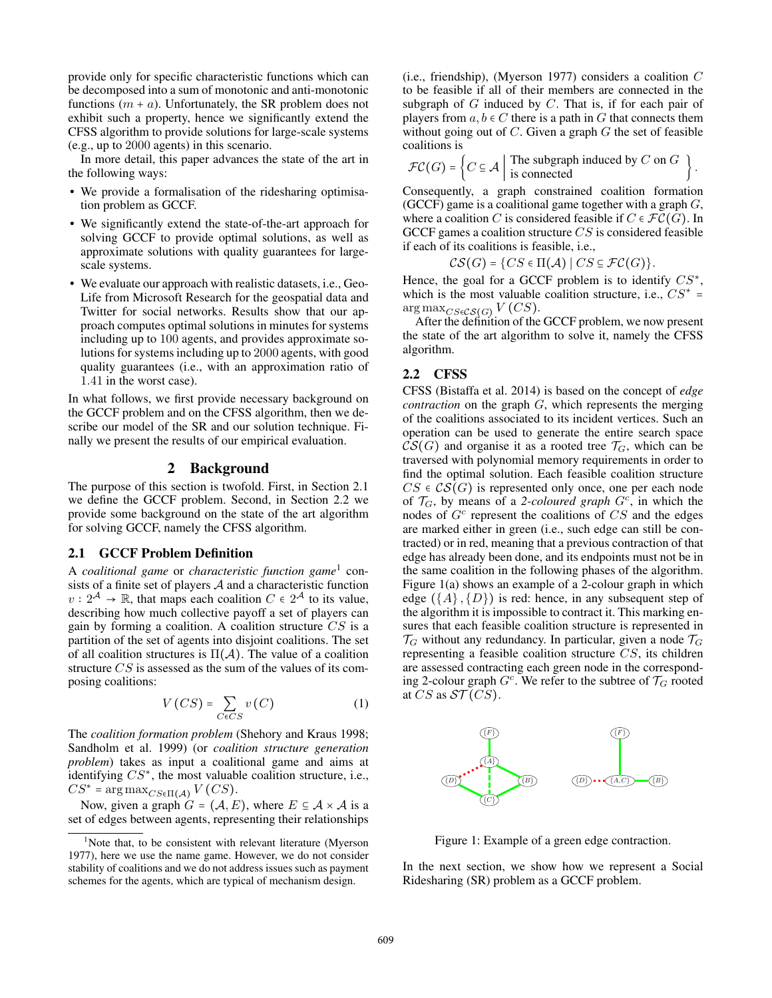provide only for specific characteristic functions which can be decomposed into a sum of monotonic and anti-monotonic functions  $(m + a)$ . Unfortunately, the SR problem does not exhibit such a property, hence we significantly extend the CFSS algorithm to provide solutions for large-scale systems (e.g., up to 2000 agents) in this scenario.

In more detail, this paper advances the state of the art in the following ways:

- We provide a formalisation of the ridesharing optimisation problem as GCCF.
- We significantly extend the state-of-the-art approach for solving GCCF to provide optimal solutions, as well as approximate solutions with quality guarantees for largescale systems.
- We evaluate our approach with realistic datasets, i.e., Geo-Life from Microsoft Research for the geospatial data and Twitter for social networks. Results show that our approach computes optimal solutions in minutes for systems including up to 100 agents, and provides approximate solutions for systems including up to 2000 agents, with good quality guarantees (i.e., with an approximation ratio of 1.41 in the worst case).

In what follows, we first provide necessary background on the GCCF problem and on the CFSS algorithm, then we describe our model of the SR and our solution technique. Finally we present the results of our empirical evaluation.

#### 2 Background

The purpose of this section is twofold. First, in Section 2.1 we define the GCCF problem. Second, in Section 2.2 we provide some background on the state of the art algorithm for solving GCCF, namely the CFSS algorithm.

## 2.1 GCCF Problem Definition

A *coalitional game* or *characteristic function game*<sup>1</sup> consists of a finite set of players  $A$  and a characteristic function  $v: 2^{\mathcal{A}} \to \mathbb{R}$ , that maps each coalition  $C \in 2^{\mathcal{A}}$  to its value, describing how much collective payoff a set of players can gain by forming a coalition. A coalition structure  $CS$  is a partition of the set of agents into disjoint coalitions. The set of all coalition structures is  $\Pi(\mathcal{A})$ . The value of a coalition structure CS is assessed as the sum of the values of its composing coalitions:

$$
V\left(CS\right) = \sum_{C \in CS} v\left(C\right) \tag{1}
$$

The *coalition formation problem* (Shehory and Kraus 1998; Sandholm et al. 1999) (or *coalition structure generation problem*) takes as input a coalitional game and aims at identifying  $CS^*$ , the most valuable coalition structure, i.e.,  $CS^*$  = arg max $_{CS\in\Pi(\mathcal{A})}$  V (CS).

Now, given a graph  $G = (\mathcal{A}, E)$ , where  $E \subseteq \mathcal{A} \times \mathcal{A}$  is a set of edges between agents, representing their relationships

(i.e., friendship), (Myerson 1977) considers a coalition  $C$ to be feasible if all of their members are connected in the subgraph of  $G$  induced by  $C$ . That is, if for each pair of players from  $a, b \in C$  there is a path in G that connects them without going out of  $C$ . Given a graph  $G$  the set of feasible coalitions is

$$
\mathcal{FC}(G) = \left\{ C \subseteq \mathcal{A} \mid \text{The subgraph induced by } C \text{ on } G \right\}.
$$

Consequently, a graph constrained coalition formation (GCCF) game is a coalitional game together with a graph  $G$ , where a coalition C is considered feasible if  $C \in \mathcal{FC}(G)$ . In GCCF games a coalition structure  $CS$  is considered feasible if each of its coalitions is feasible, i.e.,

$$
\mathcal{CS}(G) = \{ CS \in \Pi(\mathcal{A}) \mid CS \subseteq \mathcal{FC}(G) \}.
$$

Hence, the goal for a GCCF problem is to identify  $CS^*$ , which is the most valuable coalition structure, i.e.,  $CS^* =$  $\arg \max_{CS \in \mathcal{CS}(G)} V(CS)$ .

After the definition of the GCCF problem, we now present the state of the art algorithm to solve it, namely the CFSS algorithm.

#### 2.2 CFSS

CFSS (Bistaffa et al. 2014) is based on the concept of *edge contraction* on the graph G, which represents the merging of the coalitions associated to its incident vertices. Such an operation can be used to generate the entire search space  $CS(G)$  and organise it as a rooted tree  $\mathcal{T}_G$ , which can be traversed with polynomial memory requirements in order to find the optimal solution. Each feasible coalition structure  $CS \in \mathcal{CS}(G)$  is represented only once, one per each node of  $\mathcal{T}_G$ , by means of a 2-coloured graph  $G^c$ , in which the nodes of  $G<sup>c</sup>$  represent the coalitions of  $CS$  and the edges are marked either in green (i.e., such edge can still be contracted) or in red, meaning that a previous contraction of that edge has already been done, and its endpoints must not be in the same coalition in the following phases of the algorithm. Figure 1(a) shows an example of a 2-colour graph in which edge  $({A}, {D})$  is red: hence, in any subsequent step of the algorithm it is impossible to contract it. This marking ensures that each feasible coalition structure is represented in  $\mathcal{T}_G$  without any redundancy. In particular, given a node  $\mathcal{T}_G$ representing a feasible coalition structure CS, its children are assessed contracting each green node in the corresponding 2-colour graph  $G^c$ . We refer to the subtree of  $\mathcal{T}_G$  rooted at CS as  $ST(CS)$ .



Figure 1: Example of a green edge contraction.

In the next section, we show how we represent a Social Ridesharing (SR) problem as a GCCF problem.

 $1$ Note that, to be consistent with relevant literature (Myerson 1977), here we use the name game. However, we do not consider stability of coalitions and we do not address issues such as payment schemes for the agents, which are typical of mechanism design.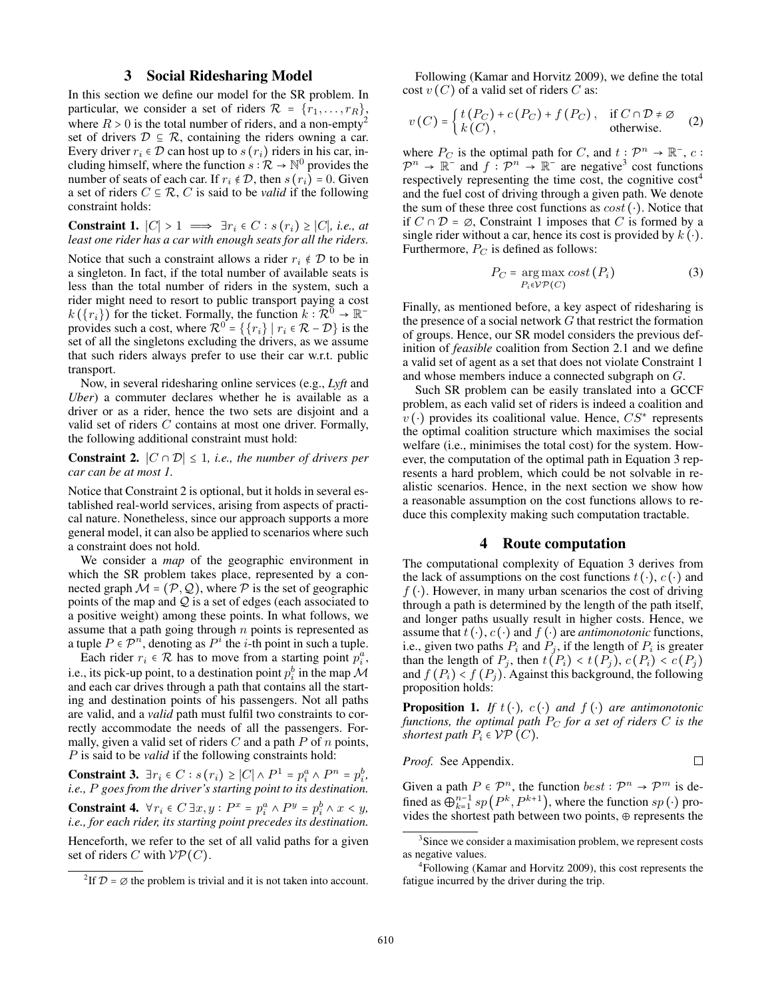## 3 Social Ridesharing Model

In this section we define our model for the SR problem. In particular, we consider a set of riders  $\mathcal{R} = \{r_1, \ldots, r_R\},\$ where  $R > 0$  is the total number of riders, and a non-empty<sup>2</sup> set of drivers  $D \subseteq R$ , containing the riders owning a car. Every driver  $r_i \in \mathcal{D}$  can host up to  $s(r_i)$  riders in his car, including himself, where the function  $s : \mathcal{R} \to \mathbb{N}^0$  provides the number of seats of each car. If  $r_i \notin \mathcal{D}$ , then  $s(r_i) = 0$ . Given a set of riders  $C \subseteq \mathcal{R}$ , C is said to be *valid* if the following constraint holds:

Constraint 1.  $|C| > 1 \implies \exists r_i \in C : s(r_i) \ge |C|$ *, i.e., at least one rider has a car with enough seats for all the riders.*

Notice that such a constraint allows a rider  $r_i \notin \mathcal{D}$  to be in a singleton. In fact, if the total number of available seats is less than the total number of riders in the system, such a rider might need to resort to public transport paying a cost  $k(\lbrace r_i \rbrace)$  for the ticket. Formally, the function  $k: \mathcal{R}^0 \to \mathbb{R}^$ provides such a cost, where  $\mathcal{R}^0 = \{ \{r_i\} \mid r_i \in \mathcal{R} - \mathcal{D} \}$  is the set of all the singletons excluding the drivers, as we assume that such riders always prefer to use their car w.r.t. public transport.

Now, in several ridesharing online services (e.g., *Lyft* and *Uber*) a commuter declares whether he is available as a driver or as a rider, hence the two sets are disjoint and a valid set of riders C contains at most one driver. Formally, the following additional constraint must hold:

**Constraint 2.**  $|C ∩ D| ≤ 1$ *, i.e., the number of drivers per car can be at most 1.*

Notice that Constraint 2 is optional, but it holds in several established real-world services, arising from aspects of practical nature. Nonetheless, since our approach supports a more general model, it can also be applied to scenarios where such a constraint does not hold.

We consider a *map* of the geographic environment in which the SR problem takes place, represented by a connected graph  $M = (\mathcal{P}, \mathcal{Q})$ , where  $\mathcal P$  is the set of geographic points of the map and  $Q$  is a set of edges (each associated to a positive weight) among these points. In what follows, we assume that a path going through  $n$  points is represented as a tuple  $P \in \mathcal{P}^n$ , denoting as  $P^i$  the *i*-th point in such a tuple.

Each rider  $r_i \in \mathcal{R}$  has to move from a starting point  $p_i^a$ , i.e., its pick-up point, to a destination point  $p_i^b$  in the map  $\mathcal M$ and each car drives through a path that contains all the starting and destination points of his passengers. Not all paths are valid, and a *valid* path must fulfil two constraints to correctly accommodate the needs of all the passengers. Formally, given a valid set of riders  $C$  and a path  $P$  of  $n$  points, P is said to be *valid* if the following constraints hold:

**Constraint 3.**  $\exists r_i \in C : s(r_i) \ge |C| \wedge P^1 = p_i^a \wedge P^n = p_i^b$ , *i.e.,* P *goes from the driver's starting point to its destination.*

**Constraint 4.**  $\forall r_i \in C \exists x, y : P^x = p_i^a \land P^y = p_i^b \land x < y$ , *i.e., for each rider, its starting point precedes its destination.* Henceforth, we refer to the set of all valid paths for a given

set of riders C with  $VP(C)$ .

Following (Kamar and Horvitz 2009), we define the total cost  $v(C)$  of a valid set of riders C as:

$$
v(C) = \begin{cases} t(P_C) + c(P_C) + f(P_C), & \text{if } C \cap \mathcal{D} \neq \emptyset \\ k(C), & \text{otherwise.} \end{cases}
$$
 (2)

where  $P_C$  is the optimal path for C, and  $t: \mathcal{P}^n \to \mathbb{R}^-, c$ :  $\mathcal{P}^n \to \mathbb{R}^-$  and  $f : \mathcal{P}^n \to \mathbb{R}^-$  are negative<sup>3</sup> cost functions respectively representing the time cost, the cognitive cost<sup>4</sup> and the fuel cost of driving through a given path. We denote the sum of these three cost functions as  $cost(\cdot)$ . Notice that if  $C ∩ D = ∅$ , Constraint 1 imposes that C is formed by a single rider without a car, hence its cost is provided by  $k(\cdot)$ . Furthermore,  $P_C$  is defined as follows:

$$
P_C = \underset{P_i \in \mathcal{V}}{\arg \max} \ cost\left(P_i\right) \tag{3}
$$

Finally, as mentioned before, a key aspect of ridesharing is the presence of a social network  $G$  that restrict the formation of groups. Hence, our SR model considers the previous definition of *feasible* coalition from Section 2.1 and we define a valid set of agent as a set that does not violate Constraint 1 and whose members induce a connected subgraph on G.

Such SR problem can be easily translated into a GCCF problem, as each valid set of riders is indeed a coalition and  $\hat{v}(\cdot)$  provides its coalitional value. Hence,  $CS^*$  represents the optimal coalition structure which maximises the social welfare (i.e., minimises the total cost) for the system. However, the computation of the optimal path in Equation 3 represents a hard problem, which could be not solvable in realistic scenarios. Hence, in the next section we show how a reasonable assumption on the cost functions allows to reduce this complexity making such computation tractable.

## 4 Route computation

The computational complexity of Equation 3 derives from the lack of assumptions on the cost functions  $t(\cdot)$ ,  $c(\cdot)$  and  $f(\cdot)$ . However, in many urban scenarios the cost of driving through a path is determined by the length of the path itself, and longer paths usually result in higher costs. Hence, we assume that  $t(\cdot)$ ,  $c(\cdot)$  and  $f(\cdot)$  are *antimonotonic* functions, i.e., given two paths  $P_i$  and  $P_j$ , if the length of  $P_i$  is greater than the length of  $P_j$ , then  $t(P_i) < t(P_j)$ ,  $c(P_i) < c(P_j)$ and  $f(P_i) < f(P_i)$ . Against this background, the following proposition holds:

**Proposition 1.** *If*  $t(\cdot)$ ,  $c(\cdot)$  *and*  $f(\cdot)$  *are antimonotonic functions, the optimal path*  $P_C$  *for a set of riders*  $C$  *is the shortest path*  $P_i \in \mathcal{VP}(C)$ *.* 

*Proof.* See Appendix.

Given a path  $P \in \mathcal{P}^n$ , the function  $best : \mathcal{P}^n \to \mathcal{P}^m$  is defined as  $\widehat{\bigoplus_{k=1}^{n-1} sp(P^k, P^{k+1})$ , where the function  $sp(\cdot)$  provides the shortest path between two points,  $\oplus$  represents the

 $\Box$ 

<sup>&</sup>lt;sup>2</sup>If  $\mathcal{D} = \emptyset$  the problem is trivial and it is not taken into account.

<sup>&</sup>lt;sup>3</sup>Since we consider a maximisation problem, we represent costs as negative values.

<sup>4</sup> Following (Kamar and Horvitz 2009), this cost represents the fatigue incurred by the driver during the trip.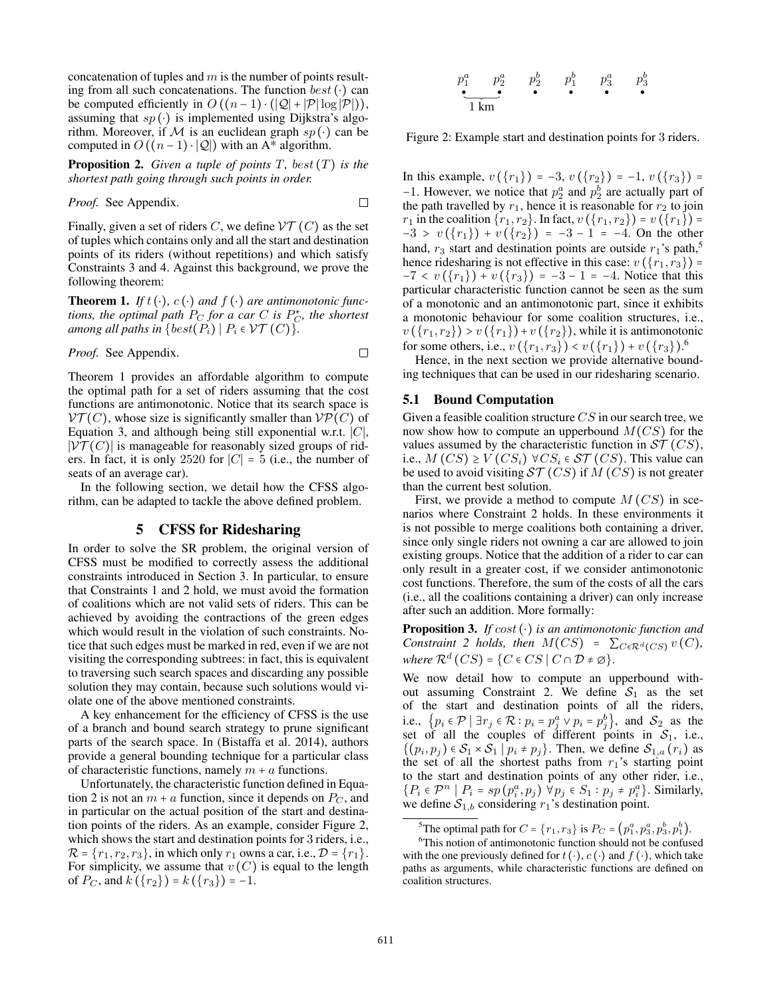concatenation of tuples and  $m$  is the number of points resulting from all such concatenations. The function  $best(\cdot)$  can be computed efficiently in  $O((n-1) \cdot (|\mathcal{Q}| + |\mathcal{P}| \log |\mathcal{P}|)),$ assuming that  $sp(\cdot)$  is implemented using Dijkstra's algorithm. Moreover, if M is an euclidean graph  $sp(\cdot)$  can be computed in  $O((n-1) \cdot |Q|)$  with an A\* algorithm.

**Proposition 2.** *Given a tuple of points*  $T$ *, best*  $(T)$  *is the shortest path going through such points in order.*

*Proof.* See Appendix.

Finally, given a set of riders C, we define  $\mathcal{V}\mathcal{T}(C)$  as the set of tuples which contains only and all the start and destination points of its riders (without repetitions) and which satisfy Constraints 3 and 4. Against this background, we prove the following theorem:

**Theorem 1.** *If*  $t(\cdot)$ ,  $c(\cdot)$  *and*  $f(\cdot)$  *are antimonotonic functions, the optimal path*  $P_C$  *for a car C is*  $P_C^*$ *, the shortest among all paths in*  $\{best(P_i) | P_i \in \mathcal{VT}(C)\}.$ 

*Proof.* See Appendix.

 $\Box$ 

 $\Box$ 

Theorem 1 provides an affordable algorithm to compute the optimal path for a set of riders assuming that the cost functions are antimonotonic. Notice that its search space is  $\mathcal{V}(\mathcal{T}(C))$ , whose size is significantly smaller than  $\mathcal{V}(\mathcal{P}(C))$  of Equation 3, and although being still exponential w.r.t. ∣C∣,  $|\mathcal{V} \mathcal{T}(C)|$  is manageable for reasonably sized groups of riders. In fact, it is only 2520 for  $|C| = 5$  (i.e., the number of seats of an average car).

In the following section, we detail how the CFSS algorithm, can be adapted to tackle the above defined problem.

## 5 CFSS for Ridesharing

In order to solve the SR problem, the original version of CFSS must be modified to correctly assess the additional constraints introduced in Section 3. In particular, to ensure that Constraints 1 and 2 hold, we must avoid the formation of coalitions which are not valid sets of riders. This can be achieved by avoiding the contractions of the green edges which would result in the violation of such constraints. Notice that such edges must be marked in red, even if we are not visiting the corresponding subtrees: in fact, this is equivalent to traversing such search spaces and discarding any possible solution they may contain, because such solutions would violate one of the above mentioned constraints.

A key enhancement for the efficiency of CFSS is the use of a branch and bound search strategy to prune significant parts of the search space. In (Bistaffa et al. 2014), authors provide a general bounding technique for a particular class of characteristic functions, namely  $m + a$  functions.

Unfortunately, the characteristic function defined in Equation 2 is not an  $m + a$  function, since it depends on  $P_C$ , and in particular on the actual position of the start and destination points of the riders. As an example, consider Figure 2, which shows the start and destination points for 3 riders, i.e.,  $\mathcal{R} = \{r_1, r_2, r_3\}$ , in which only  $r_1$  owns a car, i.e.,  $\mathcal{D} = \{r_1\}$ . For simplicity, we assume that  $v(C)$  is equal to the length of  $P_C$ , and  $k({r_2}) = k({r_3}) = -1$ .

p a <sup>1</sup> p a <sup>2</sup> p b <sup>2</sup> p b <sup>1</sup> p a <sup>3</sup> p b 3 1 km

Figure 2: Example start and destination points for 3 riders.

In this example,  $v(\lbrace r_1 \rbrace) = -3$ ,  $v(\lbrace r_2 \rbrace) = -1$ ,  $v(\lbrace r_3 \rbrace) =$ −1. However, we notice that  $p_2^a$  and  $p_2^b$  are actually part of the path travelled by  $r_1$ , hence it is reasonable for  $r_2$  to join  $r_1$  in the coalition  $\{r_1, r_2\}$ . In fact,  $v(\{r_1, r_2\}) = v(\{r_1\}) =$  $-3 > v(\lbrace r_1 \rbrace) + v(\lbrace r_2 \rbrace) = -3 - 1 = -4$ . On the other hand,  $r_3$  start and destination points are outside  $r_1$ 's path,<sup>5</sup> hence ridesharing is not effective in this case:  $v(\lbrace r_1, r_3 \rbrace)$  =  $-7 < v(\lbrace r_1 \rbrace) + v(\lbrace r_3 \rbrace) = -3 - 1 = -4$ . Notice that this particular characteristic function cannot be seen as the sum of a monotonic and an antimonotonic part, since it exhibits a monotonic behaviour for some coalition structures, i.e.,  $v({r_1,r_2}) > v({r_1})+v({r_2})$ , while it is antimonotonic for some others, i.e.,  $v(\{r_1, r_3\}) < v(\{r_1\}) + v(\{r_3\}).^6$ 

Hence, in the next section we provide alternative bounding techniques that can be used in our ridesharing scenario.

#### 5.1 Bound Computation

Given a feasible coalition structure  $CS$  in our search tree, we now show how to compute an upperbound  $M(CS)$  for the values assumed by the characteristic function in  $\mathcal{ST}(CS)$ , i.e.,  $M(CS) \ge V(CS_i) \ \forall CS_i \in \mathcal{ST}(CS)$ . This value can be used to avoid visiting  $ST(CS)$  if  $M(CS)$  is not greater than the current best solution.

First, we provide a method to compute  $M(CS)$  in scenarios where Constraint 2 holds. In these environments it is not possible to merge coalitions both containing a driver, since only single riders not owning a car are allowed to join existing groups. Notice that the addition of a rider to car can only result in a greater cost, if we consider antimonotonic cost functions. Therefore, the sum of the costs of all the cars (i.e., all the coalitions containing a driver) can only increase after such an addition. More formally:

Proposition 3. *If* cost (⋅) *is an antimonotonic function and Constraint 2 holds, then*  $M(CS) = \sum_{C \in \mathbb{R}^d} C(S) v(C)$ *, where*  $\mathcal{R}^d(CS) = \{C \in CS \mid C \cap \mathcal{D} \neq \emptyset\}.$ 

We now detail how to compute an upperbound without assuming Constraint 2. We define  $S_1$  as the set of the start and destination points of all the riders, i.e.,  $\{p_i \in \mathcal{P} \mid \exists r_j \in \mathcal{R} : p_i = p_j^a \vee p_i = p_j^b\}$ , and  $\mathcal{S}_2$  as the set of all the couples of different points in  $S_1$ , i.e.,  $\{(p_i, p_j) \in S_1 \times S_1 \mid p_i \neq p_j\}$ . Then, we define  $S_{1,a}(r_i)$  as the set of all the shortest paths from  $r_1$ 's starting point to the start and destination points of any other rider, i.e.,  $\{P_i \in \mathcal{P}^n \mid P_i = sp(p_i^a, p_j) \ \forall p_j \in S_1 : p_j \neq p_i^a\}$ . Similarly, we define  $S_{1,b}$  considering  $r_1$ 's destination point.

<sup>&</sup>lt;sup>5</sup>The optimal path for  $C = \{r_1, r_3\}$  is  $P_C = (p_1^a, p_3^a, p_3^b, p_1^b)$ .

<sup>&</sup>lt;sup>6</sup>This notion of antimonotonic function should not be confused with the one previously defined for  $t(\cdot)$ ,  $c(\cdot)$  and  $f(\cdot)$ , which take paths as arguments, while characteristic functions are defined on coalition structures.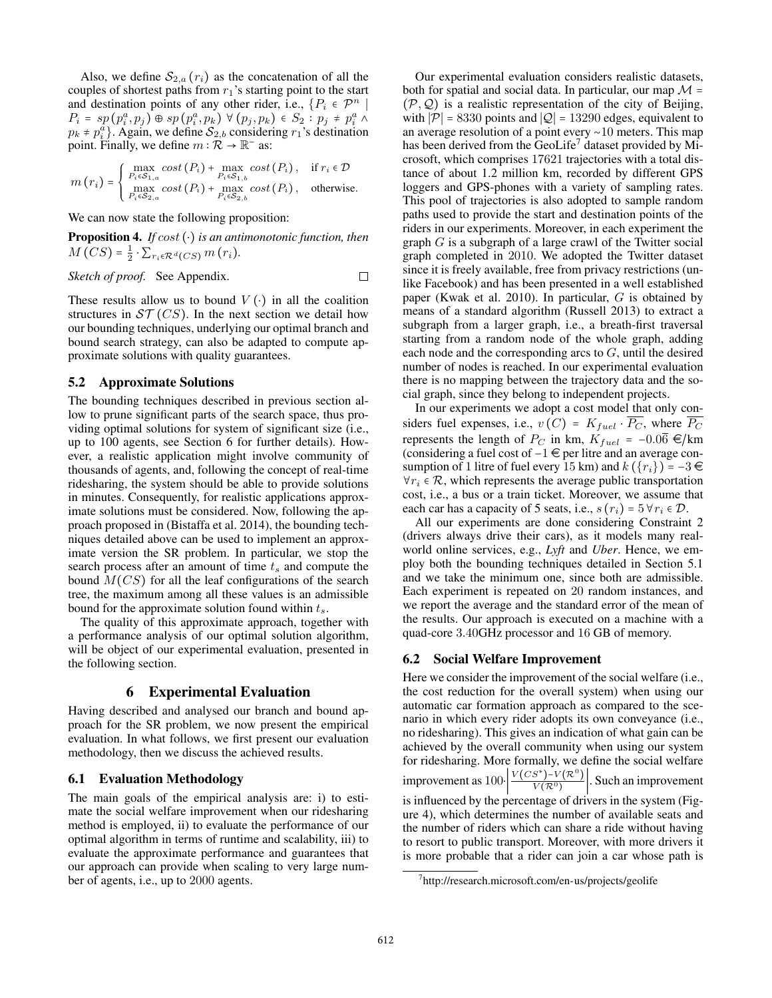Also, we define  $S_{2,a}(r_i)$  as the concatenation of all the couples of shortest paths from  $r_1$ 's starting point to the start and destination points of any other rider, i.e.,  $\{P_i \in \mathcal{P}^n \mid$  $P_i = sp(p_i^a, p_j) \oplus sp(p_i^a, p_k) \ \forall (p_j, p_k) \in S_2 : p_j \neq p_i^a \land$  $p_k \neq p_i^{\bar{a}}$ . Again, we define  $S_{2,b}$  considering  $r_1$ 's destination point. Finally, we define  $m : \mathbb{R} \to \mathbb{R}^-$  as:

$$
m(r_i) = \begin{cases} \max_{P_i \in S_{1,a}} cost(P_i) + \max_{P_i \in S_{1,b}} cost(P_i), & \text{if } r_i \in \mathcal{D} \\ \max_{P_i \in S_{2,a}} cost(P_i) + \max_{P_i \in S_{2,b}} cost(P_i), & \text{otherwise.} \end{cases}
$$

We can now state the following proposition:

Proposition 4. *If* cost (⋅) *is an antimonotonic function, then*  $M\left(CS\right) = \frac{1}{2} \cdot \sum_{r_i \in \mathcal{R}^d(CS)} m\left(r_i\right).$ 

Sketch of proof. See Appendix. 
$$
\Box
$$

These results allow us to bound  $V(\cdot)$  in all the coalition structures in  $ST(CS)$ . In the next section we detail how our bounding techniques, underlying our optimal branch and bound search strategy, can also be adapted to compute approximate solutions with quality guarantees.

#### 5.2 Approximate Solutions

The bounding techniques described in previous section allow to prune significant parts of the search space, thus providing optimal solutions for system of significant size (i.e., up to 100 agents, see Section 6 for further details). However, a realistic application might involve community of thousands of agents, and, following the concept of real-time ridesharing, the system should be able to provide solutions in minutes. Consequently, for realistic applications approximate solutions must be considered. Now, following the approach proposed in (Bistaffa et al. 2014), the bounding techniques detailed above can be used to implement an approximate version the SR problem. In particular, we stop the search process after an amount of time  $t_s$  and compute the bound  $M(CS)$  for all the leaf configurations of the search tree, the maximum among all these values is an admissible bound for the approximate solution found within  $t_s$ .

The quality of this approximate approach, together with a performance analysis of our optimal solution algorithm, will be object of our experimental evaluation, presented in the following section.

## 6 Experimental Evaluation

Having described and analysed our branch and bound approach for the SR problem, we now present the empirical evaluation. In what follows, we first present our evaluation methodology, then we discuss the achieved results.

## 6.1 Evaluation Methodology

The main goals of the empirical analysis are: i) to estimate the social welfare improvement when our ridesharing method is employed, ii) to evaluate the performance of our optimal algorithm in terms of runtime and scalability, iii) to evaluate the approximate performance and guarantees that our approach can provide when scaling to very large number of agents, i.e., up to 2000 agents.

Our experimental evaluation considers realistic datasets, both for spatial and social data. In particular, our map  $\mathcal{M} =$  $(\mathcal{P}, \mathcal{Q})$  is a realistic representation of the city of Beijing, with  $|\mathcal{P}| = 8330$  points and  $|\mathcal{Q}| = 13290$  edges, equivalent to an average resolution of a point every ∼10 meters. This map has been derived from the GeoLife<sup>7</sup> dataset provided by Microsoft, which comprises 17621 trajectories with a total distance of about 1.2 million km, recorded by different GPS loggers and GPS-phones with a variety of sampling rates. This pool of trajectories is also adopted to sample random paths used to provide the start and destination points of the riders in our experiments. Moreover, in each experiment the graph  $G$  is a subgraph of a large crawl of the Twitter social graph completed in 2010. We adopted the Twitter dataset since it is freely available, free from privacy restrictions (unlike Facebook) and has been presented in a well established paper (Kwak et al. 2010). In particular, G is obtained by means of a standard algorithm (Russell 2013) to extract a subgraph from a larger graph, i.e., a breath-first traversal starting from a random node of the whole graph, adding each node and the corresponding arcs to  $G$ , until the desired number of nodes is reached. In our experimental evaluation there is no mapping between the trajectory data and the social graph, since they belong to independent projects.

In our experiments we adopt a cost model that only considers fuel expenses, i.e.,  $v(C) = K_{fuel} \cdot \overline{P_C}$ , where  $\overline{P_C}$ represents the length of  $P_C$  in km,  $K_{fuel}$  = −0.06  $\in$ /km (considering a fuel cost of  $-1 \in$  per litre and an average consumption of 1 litre of fuel every 15 km) and  $k({r_i}) = -3 \in$  $\forall r_i \in \mathcal{R}$ , which represents the average public transportation cost, i.e., a bus or a train ticket. Moreover, we assume that each car has a capacity of 5 seats, i.e.,  $s(r_i) = 5 \,\forall r_i \in \mathcal{D}$ .

All our experiments are done considering Constraint 2 (drivers always drive their cars), as it models many realworld online services, e.g., *Lyft* and *Uber*. Hence, we employ both the bounding techniques detailed in Section 5.1 and we take the minimum one, since both are admissible. Each experiment is repeated on 20 random instances, and we report the average and the standard error of the mean of the results. Our approach is executed on a machine with a quad-core 3.40GHz processor and 16 GB of memory.

## 6.2 Social Welfare Improvement

Here we consider the improvement of the social welfare (i.e., the cost reduction for the overall system) when using our automatic car formation approach as compared to the scenario in which every rider adopts its own conveyance (i.e., no ridesharing). This gives an indication of what gain can be achieved by the overall community when using our system for ridesharing. More formally, we define the social welfare improvement as  $100 \cdot \left| \frac{V(CS^*) - V(R^0)}{V(R^0)} \right|$  $\frac{S^{\prime} P^{\prime}(\mathcal{R})}{V(\mathcal{R}^0)}$ . Such an improvement is influenced by the percentage of drivers in the system (Figure 4), which determines the number of available seats and the number of riders which can share a ride without having to resort to public transport. Moreover, with more drivers it is more probable that a rider can join a car whose path is

<sup>7</sup> http://research.microsoft.com/en-us/projects/geolife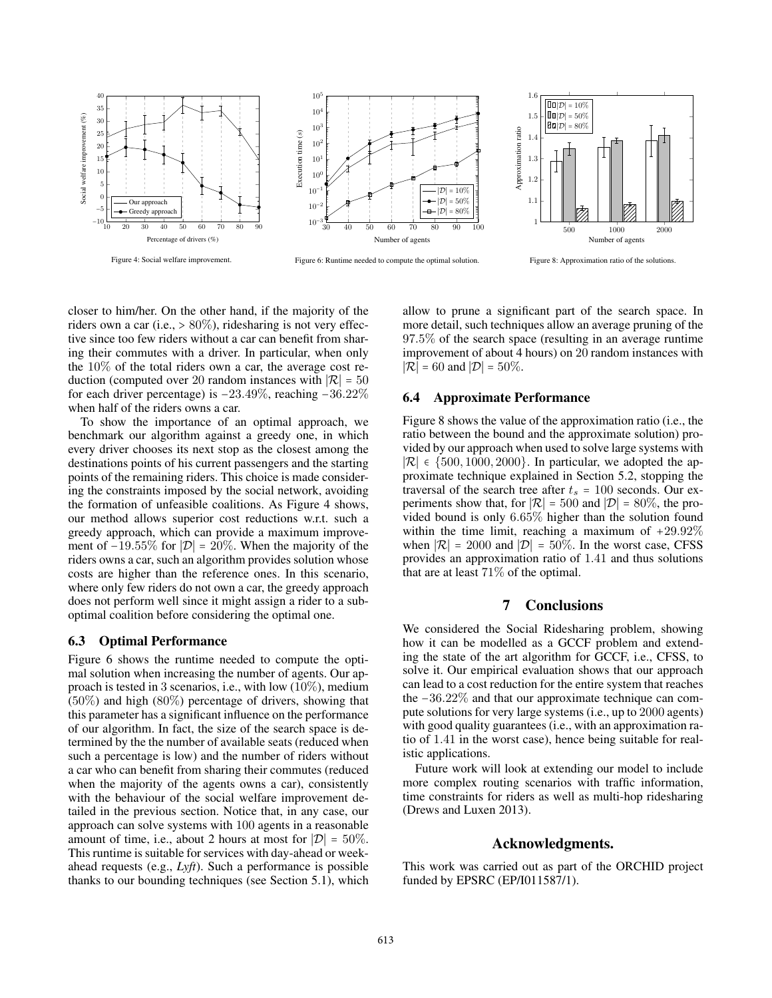

Figure 4: Social welfare improvement.

Figure 6: Runtime needed to compute the optimal solution.



Figure 8: Approximation ratio of the solutions.

closer to him/her. On the other hand, if the majority of the riders own a car (i.e.,  $> 80\%$ ), ridesharing is not very effective since too few riders without a car can benefit from sharing their commutes with a driver. In particular, when only the  $10\%$  of the total riders own a car, the average cost reduction (computed over 20 random instances with  $|\mathcal{R}| = 50$ for each driver percentage) is −23.49%, reaching −36.22% when half of the riders owns a car.

To show the importance of an optimal approach, we benchmark our algorithm against a greedy one, in which every driver chooses its next stop as the closest among the destinations points of his current passengers and the starting points of the remaining riders. This choice is made considering the constraints imposed by the social network, avoiding the formation of unfeasible coalitions. As Figure 4 shows, our method allows superior cost reductions w.r.t. such a greedy approach, which can provide a maximum improvement of  $-19.55\%$  for  $|\mathcal{D}| = 20\%$ . When the majority of the riders owns a car, such an algorithm provides solution whose costs are higher than the reference ones. In this scenario, where only few riders do not own a car, the greedy approach does not perform well since it might assign a rider to a suboptimal coalition before considering the optimal one.

## 6.3 Optimal Performance

Figure 6 shows the runtime needed to compute the optimal solution when increasing the number of agents. Our approach is tested in 3 scenarios, i.e., with low  $(10\%)$ , medium (50%) and high (80%) percentage of drivers, showing that this parameter has a significant influence on the performance of our algorithm. In fact, the size of the search space is determined by the the number of available seats (reduced when such a percentage is low) and the number of riders without a car who can benefit from sharing their commutes (reduced when the majority of the agents owns a car), consistently with the behaviour of the social welfare improvement detailed in the previous section. Notice that, in any case, our approach can solve systems with 100 agents in a reasonable amount of time, i.e., about 2 hours at most for  $|\mathcal{D}| = 50\%$ . This runtime is suitable for services with day-ahead or weekahead requests (e.g., *Lyft*). Such a performance is possible thanks to our bounding techniques (see Section 5.1), which

allow to prune a significant part of the search space. In more detail, such techniques allow an average pruning of the 97.5% of the search space (resulting in an average runtime improvement of about 4 hours) on 20 random instances with  $|\mathcal{R}| = 60$  and  $|\mathcal{D}| = 50\%$ .

#### 6.4 Approximate Performance

Figure 8 shows the value of the approximation ratio (i.e., the ratio between the bound and the approximate solution) provided by our approach when used to solve large systems with  $|\mathcal{R}|$  ∈ {500, 1000, 2000}. In particular, we adopted the approximate technique explained in Section 5.2, stopping the traversal of the search tree after  $t_s = 100$  seconds. Our experiments show that, for  $|\mathcal{R}| = 500$  and  $|\mathcal{D}| = 80\%$ , the provided bound is only 6.65% higher than the solution found within the time limit, reaching a maximum of +29.92% when  $|\mathcal{R}| = 2000$  and  $|\mathcal{D}| = 50\%$ . In the worst case, CFSS provides an approximation ratio of 1.41 and thus solutions that are at least 71% of the optimal.

## 7 Conclusions

We considered the Social Ridesharing problem, showing how it can be modelled as a GCCF problem and extending the state of the art algorithm for GCCF, i.e., CFSS, to solve it. Our empirical evaluation shows that our approach can lead to a cost reduction for the entire system that reaches the −36.22% and that our approximate technique can compute solutions for very large systems (i.e., up to 2000 agents) with good quality guarantees (i.e., with an approximation ratio of 1.41 in the worst case), hence being suitable for realistic applications.

Future work will look at extending our model to include more complex routing scenarios with traffic information, time constraints for riders as well as multi-hop ridesharing (Drews and Luxen 2013).

## Acknowledgments.

This work was carried out as part of the ORCHID project funded by EPSRC (EP/I011587/1).